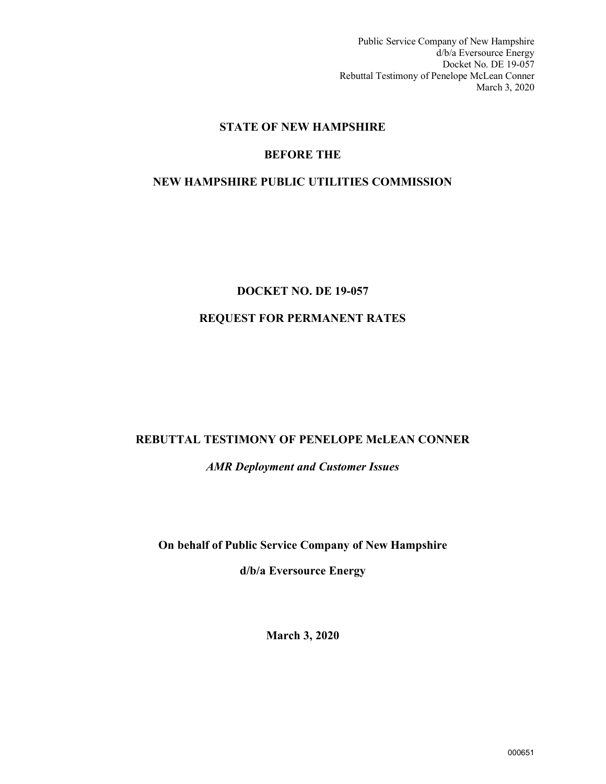Public Service Company of New Hampshire d/b/a Eversource Energy Docket No. DE 19-057 Rebuttal Testimony of Penelope McLean Conner March 3, 2020

## **STATE OF NEW HAMPSHIRE**

## **BEFORE THE**

## **NEW HAMPSHIRE PUBLIC UTILITIES COMMISSION**

# **DOCKET NO. DE 19-057 REQUEST FOR PERMANENT RATES**

## **REBUTTAL TESTIMONY OF PENELOPE McLEAN CONNER**

*AMR Deployment and Customer Issues*

**On behalf of Public Service Company of New Hampshire** 

**d/b/a Eversource Energy**

**March 3, 2020**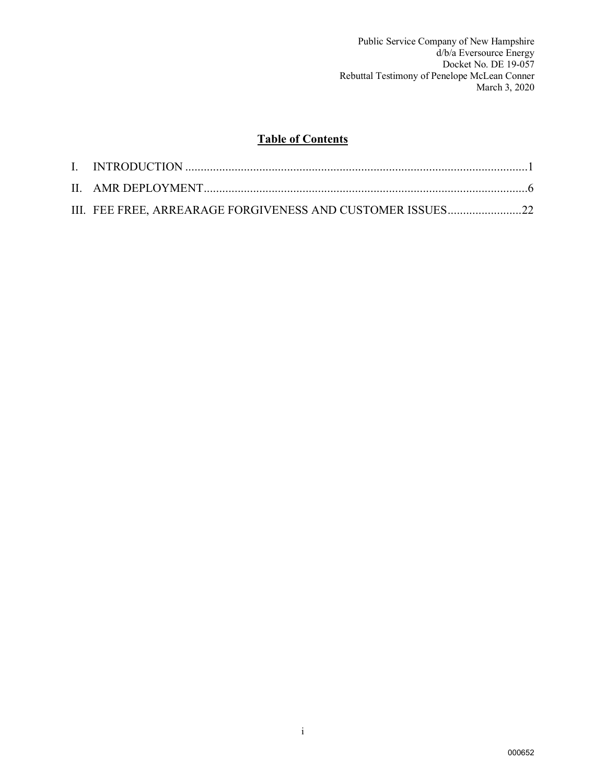## **Table of Contents**

| III. FEE FREE, ARREARAGE FORGIVENESS AND CUSTOMER ISSUES22 |  |
|------------------------------------------------------------|--|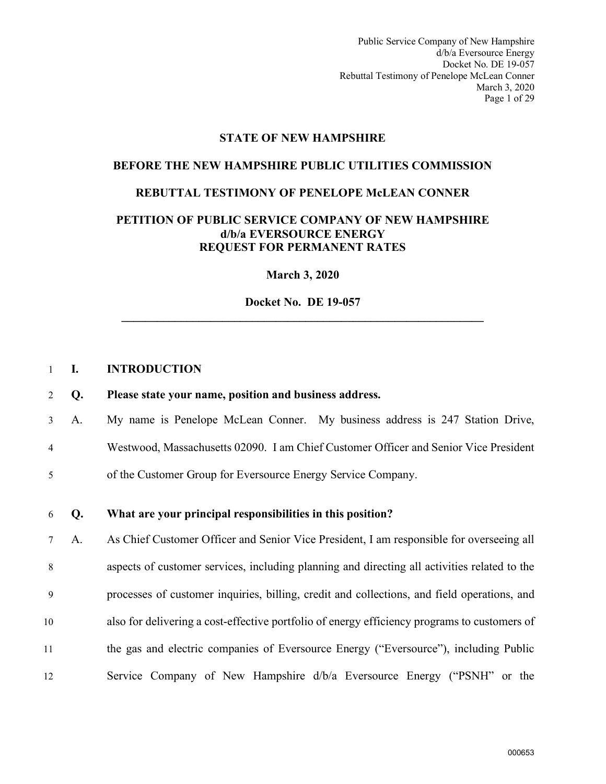Public Service Company of New Hampshire d/b/a Eversource Energy Docket No. DE 19-057 Rebuttal Testimony of Penelope McLean Conner March 3, 2020 Page 1 of 29

#### **STATE OF NEW HAMPSHIRE**

#### **BEFORE THE NEW HAMPSHIRE PUBLIC UTILITIES COMMISSION**

#### **REBUTTAL TESTIMONY OF PENELOPE McLEAN CONNER**

#### **PETITION OF PUBLIC SERVICE COMPANY OF NEW HAMPSHIRE d/b/a EVERSOURCE ENERGY REQUEST FOR PERMANENT RATES**

**March 3, 2020**

**Docket No. DE 19-057 \_\_\_\_\_\_\_\_\_\_\_\_\_\_\_\_\_\_\_\_\_\_\_\_\_\_\_\_\_\_\_\_\_\_\_\_\_\_\_\_\_\_\_\_\_\_\_\_\_\_\_\_\_\_\_\_\_\_\_\_\_** 

#### <span id="page-2-0"></span>1 **I. INTRODUCTION**

#### 2 **Q. Please state your name, position and business address.**

3 A. My name is Penelope McLean Conner. My business address is 247 Station Drive,

- 4 Westwood, Massachusetts 02090. I am Chief Customer Officer and Senior Vice President
- 5 of the Customer Group for Eversource Energy Service Company.
- 6 **Q. What are your principal responsibilities in this position?**

7 A. As Chief Customer Officer and Senior Vice President, I am responsible for overseeing all 8 aspects of customer services, including planning and directing all activities related to the 9 processes of customer inquiries, billing, credit and collections, and field operations, and 10 also for delivering a cost-effective portfolio of energy efficiency programs to customers of 11 the gas and electric companies of Eversource Energy ("Eversource"), including Public 12 Service Company of New Hampshire d/b/a Eversource Energy ("PSNH" or the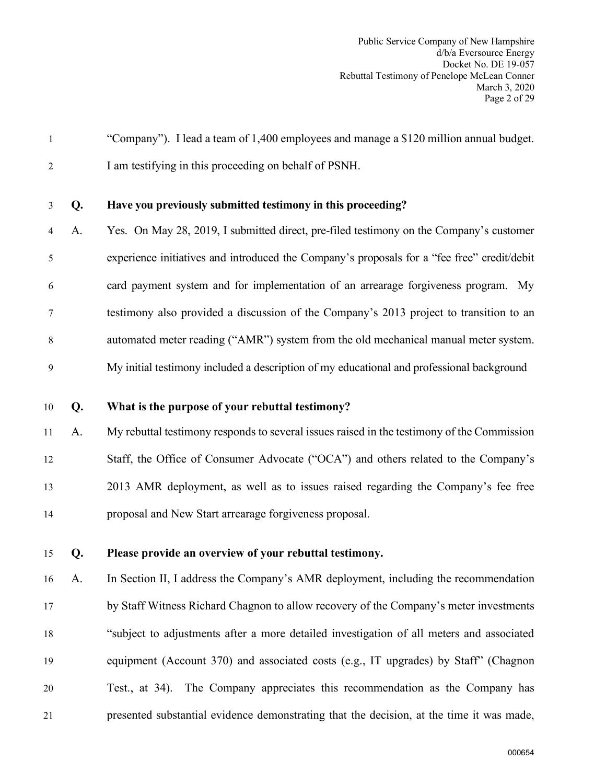1 "Company"). I lead a team of 1,400 employees and manage a \$120 million annual budget. 2 I am testifying in this proceeding on behalf of PSNH.

## 3 **Q. Have you previously submitted testimony in this proceeding?**

4 A. Yes. On May 28, 2019, I submitted direct, pre-filed testimony on the Company's customer 5 experience initiatives and introduced the Company's proposals for a "fee free" credit/debit 6 card payment system and for implementation of an arrearage forgiveness program. My 7 testimony also provided a discussion of the Company's 2013 project to transition to an 8 automated meter reading ("AMR") system from the old mechanical manual meter system. 9 My initial testimony included a description of my educational and professional background

10 **Q. What is the purpose of your rebuttal testimony?**

11 A. My rebuttal testimony responds to several issues raised in the testimony of the Commission 12 Staff, the Office of Consumer Advocate ("OCA") and others related to the Company's 13 2013 AMR deployment, as well as to issues raised regarding the Company's fee free 14 proposal and New Start arrearage forgiveness proposal.

15 **Q. Please provide an overview of your rebuttal testimony.**

16 A. In Section II, I address the Company's AMR deployment, including the recommendation 17 by Staff Witness Richard Chagnon to allow recovery of the Company's meter investments 18 "subject to adjustments after a more detailed investigation of all meters and associated 19 equipment (Account 370) and associated costs (e.g., IT upgrades) by Staff" (Chagnon 20 Test., at 34). The Company appreciates this recommendation as the Company has 21 presented substantial evidence demonstrating that the decision, at the time it was made,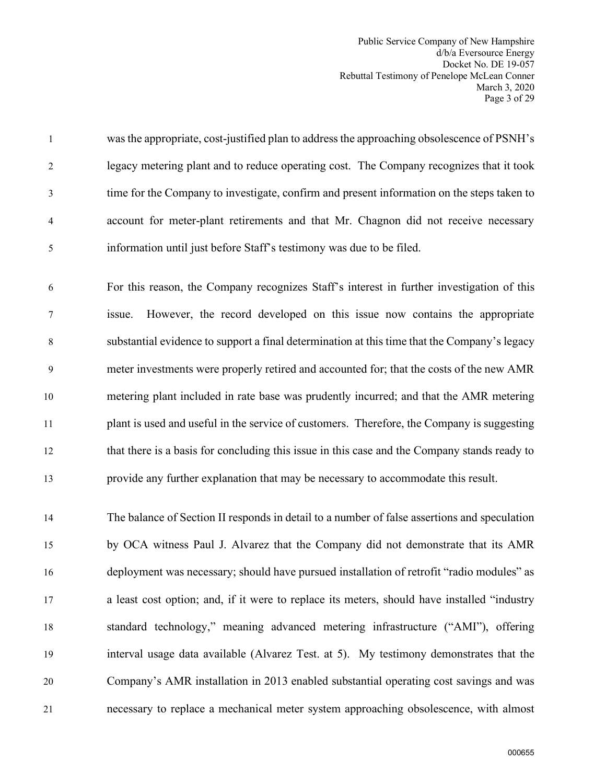Public Service Company of New Hampshire d/b/a Eversource Energy Docket No. DE 19-057 Rebuttal Testimony of Penelope McLean Conner March 3, 2020 Page 3 of 29

1 was the appropriate, cost-justified plan to address the approaching obsolescence of PSNH's 2 legacy metering plant and to reduce operating cost. The Company recognizes that it took 3 time for the Company to investigate, confirm and present information on the steps taken to 4 account for meter-plant retirements and that Mr. Chagnon did not receive necessary 5 information until just before Staff's testimony was due to be filed.

6 For this reason, the Company recognizes Staff's interest in further investigation of this 7 issue. However, the record developed on this issue now contains the appropriate 8 substantial evidence to support a final determination at this time that the Company's legacy 9 meter investments were properly retired and accounted for; that the costs of the new AMR 10 metering plant included in rate base was prudently incurred; and that the AMR metering 11 plant is used and useful in the service of customers. Therefore, the Company is suggesting 12 that there is a basis for concluding this issue in this case and the Company stands ready to 13 provide any further explanation that may be necessary to accommodate this result.

14 The balance of Section II responds in detail to a number of false assertions and speculation 15 by OCA witness Paul J. Alvarez that the Company did not demonstrate that its AMR 16 deployment was necessary; should have pursued installation of retrofit "radio modules" as 17 a least cost option; and, if it were to replace its meters, should have installed "industry 18 standard technology," meaning advanced metering infrastructure ("AMI"), offering 19 interval usage data available (Alvarez Test. at 5). My testimony demonstrates that the 20 Company's AMR installation in 2013 enabled substantial operating cost savings and was 21 necessary to replace a mechanical meter system approaching obsolescence, with almost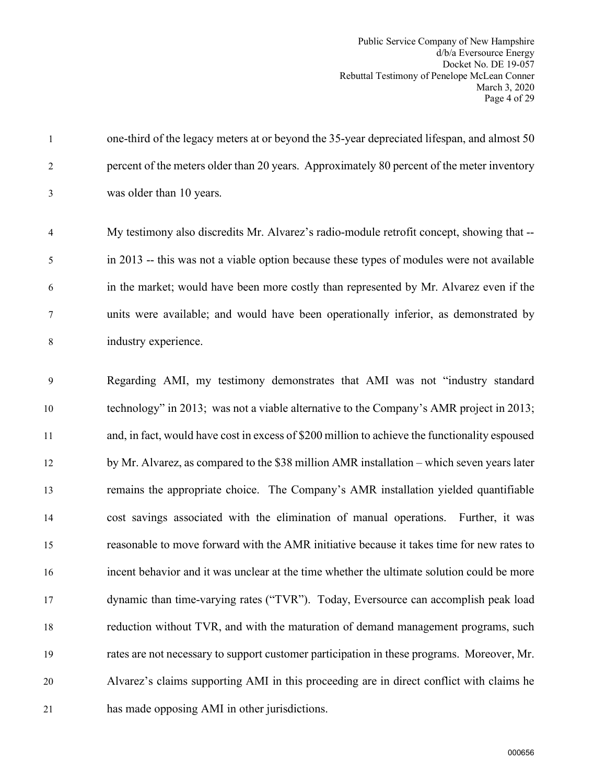Public Service Company of New Hampshire d/b/a Eversource Energy Docket No. DE 19-057 Rebuttal Testimony of Penelope McLean Conner March 3, 2020 Page 4 of 29

1 one-third of the legacy meters at or beyond the 35-year depreciated lifespan, and almost 50 2 percent of the meters older than 20 years. Approximately 80 percent of the meter inventory 3 was older than 10 years.

4 My testimony also discredits Mr. Alvarez's radio-module retrofit concept, showing that -- 5 in 2013 -- this was not a viable option because these types of modules were not available 6 in the market; would have been more costly than represented by Mr. Alvarez even if the 7 units were available; and would have been operationally inferior, as demonstrated by 8 industry experience.

9 Regarding AMI, my testimony demonstrates that AMI was not "industry standard 10 technology" in 2013; was not a viable alternative to the Company's AMR project in 2013; 11 and, in fact, would have cost in excess of \$200 million to achieve the functionality espoused 12 by Mr. Alvarez, as compared to the \$38 million AMR installation – which seven years later 13 remains the appropriate choice. The Company's AMR installation yielded quantifiable 14 cost savings associated with the elimination of manual operations. Further, it was 15 reasonable to move forward with the AMR initiative because it takes time for new rates to 16 incent behavior and it was unclear at the time whether the ultimate solution could be more 17 dynamic than time-varying rates ("TVR"). Today, Eversource can accomplish peak load 18 reduction without TVR, and with the maturation of demand management programs, such 19 rates are not necessary to support customer participation in these programs. Moreover, Mr. 20 Alvarez's claims supporting AMI in this proceeding are in direct conflict with claims he 21 has made opposing AMI in other jurisdictions.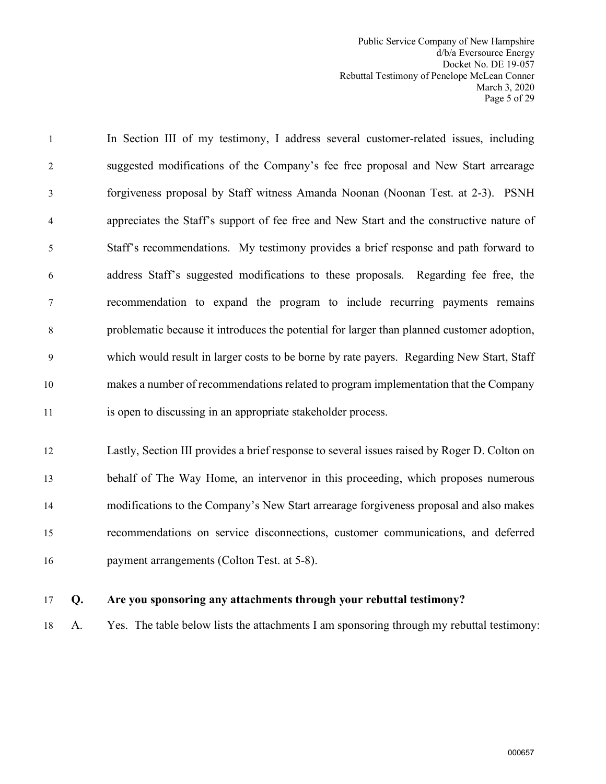Public Service Company of New Hampshire d/b/a Eversource Energy Docket No. DE 19-057 Rebuttal Testimony of Penelope McLean Conner March 3, 2020 Page 5 of 29

1 In Section III of my testimony, I address several customer-related issues, including 2 suggested modifications of the Company's fee free proposal and New Start arrearage 3 forgiveness proposal by Staff witness Amanda Noonan (Noonan Test. at 2-3). PSNH 4 appreciates the Staff's support of fee free and New Start and the constructive nature of 5 Staff's recommendations. My testimony provides a brief response and path forward to 6 address Staff's suggested modifications to these proposals. Regarding fee free, the 7 recommendation to expand the program to include recurring payments remains 8 problematic because it introduces the potential for larger than planned customer adoption, 9 which would result in larger costs to be borne by rate payers. Regarding New Start, Staff 10 makes a number of recommendations related to program implementation that the Company 11 is open to discussing in an appropriate stakeholder process.

12 Lastly, Section III provides a brief response to several issues raised by Roger D. Colton on 13 behalf of The Way Home, an intervenor in this proceeding, which proposes numerous 14 modifications to the Company's New Start arrearage forgiveness proposal and also makes 15 recommendations on service disconnections, customer communications, and deferred 16 payment arrangements (Colton Test. at 5-8).

## 17 **Q. Are you sponsoring any attachments through your rebuttal testimony?**

18 A. Yes. The table below lists the attachments I am sponsoring through my rebuttal testimony: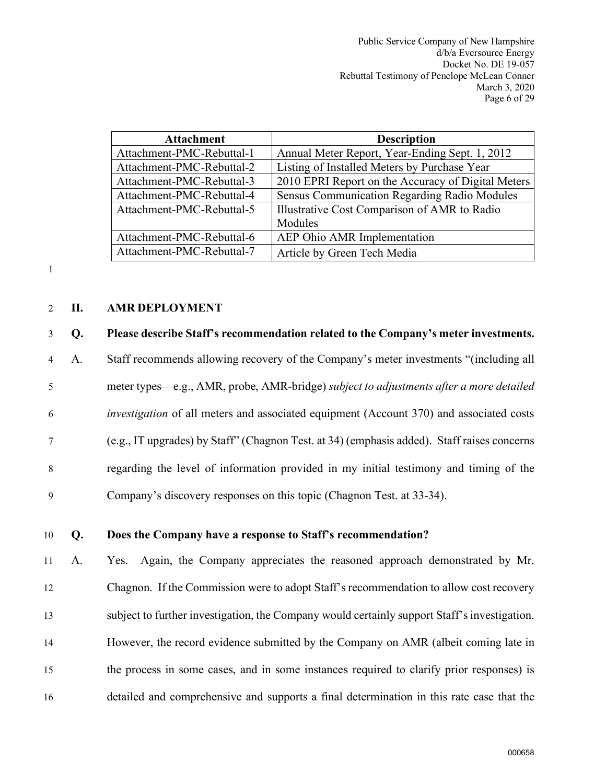| <b>Attachment</b>         | <b>Description</b>                                 |
|---------------------------|----------------------------------------------------|
| Attachment-PMC-Rebuttal-1 | Annual Meter Report, Year-Ending Sept. 1, 2012     |
| Attachment-PMC-Rebuttal-2 | Listing of Installed Meters by Purchase Year       |
| Attachment-PMC-Rebuttal-3 | 2010 EPRI Report on the Accuracy of Digital Meters |
| Attachment-PMC-Rebuttal-4 | Sensus Communication Regarding Radio Modules       |
| Attachment-PMC-Rebuttal-5 | Illustrative Cost Comparison of AMR to Radio       |
|                           | Modules                                            |
| Attachment-PMC-Rebuttal-6 | AEP Ohio AMR Implementation                        |
| Attachment-PMC-Rebuttal-7 | Article by Green Tech Media                        |

1

## <span id="page-7-0"></span>2 **II. AMR DEPLOYMENT**

## 3 **Q. Please describe Staff's recommendation related to the Company's meter investments.**

4 A. Staff recommends allowing recovery of the Company's meter investments "(including all 5 meter types—e.g., AMR, probe, AMR-bridge) *subject to adjustments after a more detailed*  6 *investigation* of all meters and associated equipment (Account 370) and associated costs 7 (e.g., IT upgrades) by Staff" (Chagnon Test. at 34) (emphasis added). Staff raises concerns 8 regarding the level of information provided in my initial testimony and timing of the 9 Company's discovery responses on this topic (Chagnon Test. at 33-34).

### 10 **Q. Does the Company have a response to Staff's recommendation?**

11 A. Yes. Again, the Company appreciates the reasoned approach demonstrated by Mr. 12 Chagnon. If the Commission were to adopt Staff's recommendation to allow cost recovery 13 subject to further investigation, the Company would certainly support Staff's investigation. 14 However, the record evidence submitted by the Company on AMR (albeit coming late in 15 the process in some cases, and in some instances required to clarify prior responses) is 16 detailed and comprehensive and supports a final determination in this rate case that the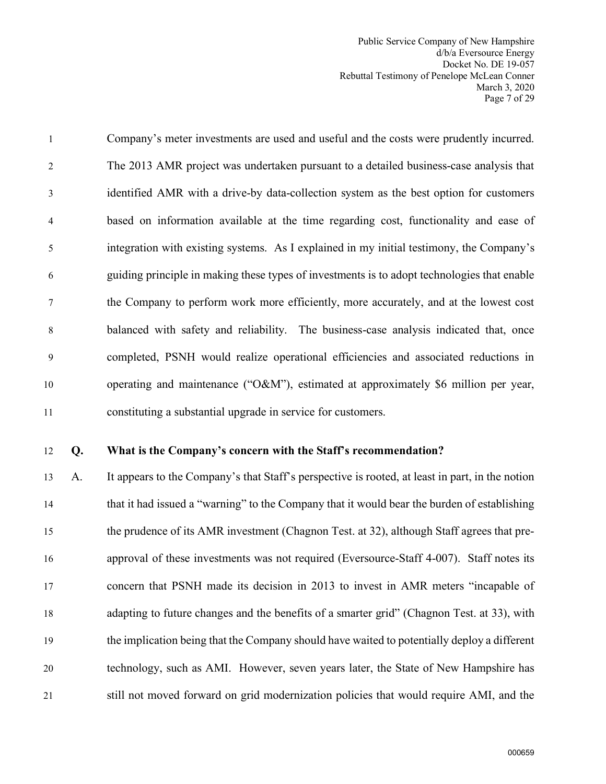Public Service Company of New Hampshire d/b/a Eversource Energy Docket No. DE 19-057 Rebuttal Testimony of Penelope McLean Conner March 3, 2020 Page 7 of 29

1 Company's meter investments are used and useful and the costs were prudently incurred. 2 The 2013 AMR project was undertaken pursuant to a detailed business-case analysis that 3 identified AMR with a drive-by data-collection system as the best option for customers 4 based on information available at the time regarding cost, functionality and ease of 5 integration with existing systems. As I explained in my initial testimony, the Company's 6 guiding principle in making these types of investments is to adopt technologies that enable 7 the Company to perform work more efficiently, more accurately, and at the lowest cost 8 balanced with safety and reliability. The business-case analysis indicated that, once 9 completed, PSNH would realize operational efficiencies and associated reductions in 10 operating and maintenance ("O&M"), estimated at approximately \$6 million per year, 11 constituting a substantial upgrade in service for customers.

#### 12 **Q. What is the Company's concern with the Staff's recommendation?**

13 A. It appears to the Company's that Staff's perspective is rooted, at least in part, in the notion 14 that it had issued a "warning" to the Company that it would bear the burden of establishing 15 the prudence of its AMR investment (Chagnon Test. at 32), although Staff agrees that pre-16 approval of these investments was not required (Eversource-Staff 4-007). Staff notes its 17 concern that PSNH made its decision in 2013 to invest in AMR meters "incapable of 18 adapting to future changes and the benefits of a smarter grid" (Chagnon Test. at 33), with 19 the implication being that the Company should have waited to potentially deploy a different 20 technology, such as AMI. However, seven years later, the State of New Hampshire has 21 still not moved forward on grid modernization policies that would require AMI, and the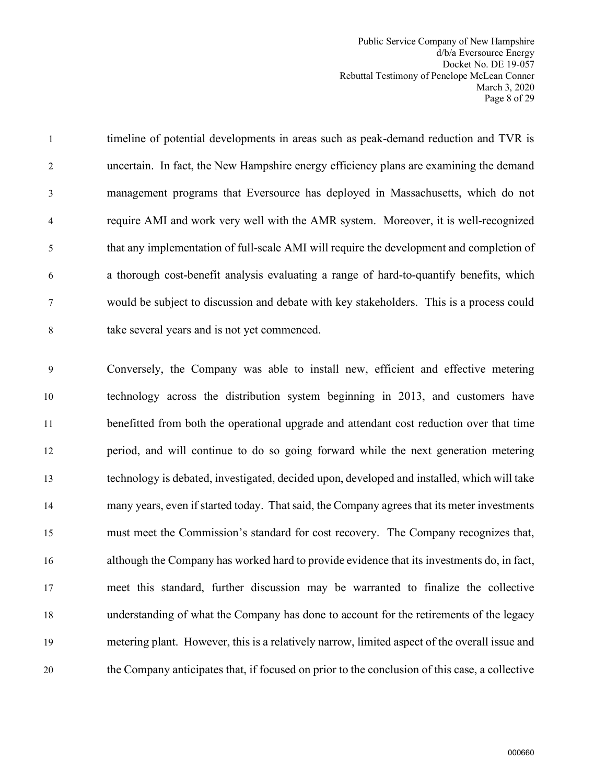Public Service Company of New Hampshire d/b/a Eversource Energy Docket No. DE 19-057 Rebuttal Testimony of Penelope McLean Conner March 3, 2020 Page 8 of 29

1 timeline of potential developments in areas such as peak-demand reduction and TVR is 2 uncertain. In fact, the New Hampshire energy efficiency plans are examining the demand 3 management programs that Eversource has deployed in Massachusetts, which do not 4 require AMI and work very well with the AMR system. Moreover, it is well-recognized 5 that any implementation of full-scale AMI will require the development and completion of 6 a thorough cost-benefit analysis evaluating a range of hard-to-quantify benefits, which 7 would be subject to discussion and debate with key stakeholders. This is a process could 8 take several years and is not yet commenced.

9 Conversely, the Company was able to install new, efficient and effective metering 10 technology across the distribution system beginning in 2013, and customers have 11 benefitted from both the operational upgrade and attendant cost reduction over that time 12 period, and will continue to do so going forward while the next generation metering 13 technology is debated, investigated, decided upon, developed and installed, which will take 14 many years, even if started today. That said, the Company agrees that its meter investments 15 must meet the Commission's standard for cost recovery. The Company recognizes that, 16 although the Company has worked hard to provide evidence that its investments do, in fact, 17 meet this standard, further discussion may be warranted to finalize the collective 18 understanding of what the Company has done to account for the retirements of the legacy 19 metering plant. However, this is a relatively narrow, limited aspect of the overall issue and 20 the Company anticipates that, if focused on prior to the conclusion of this case, a collective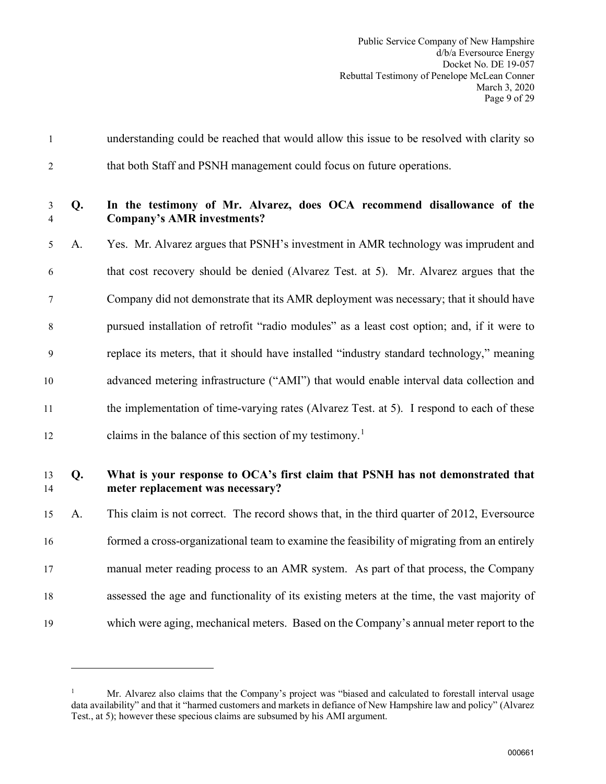| $\mathbf{1}$        |                | understanding could be reached that would allow this issue to be resolved with clarity so                          |
|---------------------|----------------|--------------------------------------------------------------------------------------------------------------------|
| $\overline{2}$      |                | that both Staff and PSNH management could focus on future operations.                                              |
| 3<br>$\overline{4}$ | Q <sub>r</sub> | In the testimony of Mr. Alvarez, does OCA recommend disallowance of the<br><b>Company's AMR investments?</b>       |
| 5                   | A.             | Yes. Mr. Alvarez argues that PSNH's investment in AMR technology was imprudent and                                 |
| 6                   |                | that cost recovery should be denied (Alvarez Test. at 5). Mr. Alvarez argues that the                              |
| 7                   |                | Company did not demonstrate that its AMR deployment was necessary; that it should have                             |
| 8                   |                | pursued installation of retrofit "radio modules" as a least cost option; and, if it were to                        |
| 9                   |                | replace its meters, that it should have installed "industry standard technology," meaning                          |
| 10                  |                | advanced metering infrastructure ("AMI") that would enable interval data collection and                            |
| 11                  |                | the implementation of time-varying rates (Alvarez Test. at 5). I respond to each of these                          |
| 12                  |                | claims in the balance of this section of my testimony. <sup>1</sup>                                                |
| 13<br>14            | Q.             | What is your response to OCA's first claim that PSNH has not demonstrated that<br>meter replacement was necessary? |
| 15                  | A.             | This claim is not correct. The record shows that, in the third quarter of 2012, Eversource                         |
| 16                  |                | formed a cross-organizational team to examine the feasibility of migrating from an entirely                        |
| 17                  |                | manual meter reading process to an AMR system. As part of that process, the Company                                |
| 18                  |                | assessed the age and functionality of its existing meters at the time, the vast majority of                        |
| 19                  |                | which were aging, mechanical meters. Based on the Company's annual meter report to the                             |

<span id="page-10-0"></span><sup>1</sup> Mr. Alvarez also claims that the Company's project was "biased and calculated to forestall interval usage data availability" and that it "harmed customers and markets in defiance of New Hampshire law and policy" (Alvarez Test., at 5); however these specious claims are subsumed by his AMI argument.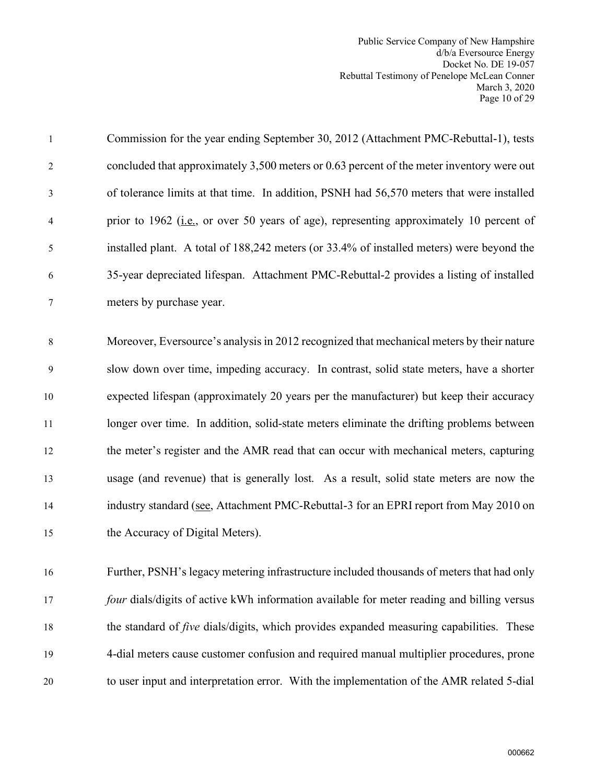Public Service Company of New Hampshire d/b/a Eversource Energy Docket No. DE 19-057 Rebuttal Testimony of Penelope McLean Conner March 3, 2020 Page 10 of 29

| $\mathbf{1}$   | Commission for the year ending September 30, 2012 (Attachment PMC-Rebuttal-1), tests            |
|----------------|-------------------------------------------------------------------------------------------------|
| $\overline{c}$ | concluded that approximately 3,500 meters or 0.63 percent of the meter inventory were out       |
| 3              | of tolerance limits at that time. In addition, PSNH had 56,570 meters that were installed       |
| 4              | prior to 1962 (i.e., or over 50 years of age), representing approximately 10 percent of         |
| 5              | installed plant. A total of 188,242 meters (or 33.4% of installed meters) were beyond the       |
| 6              | 35-year depreciated lifespan. Attachment PMC-Rebuttal-2 provides a listing of installed         |
| $\tau$         | meters by purchase year.                                                                        |
|                |                                                                                                 |
| 8              | Moreover, Eversource's analysis in 2012 recognized that mechanical meters by their nature       |
| 9              | slow down over time, impeding accuracy. In contrast, solid state meters, have a shorter         |
| $10\,$         | expected lifespan (approximately 20 years per the manufacturer) but keep their accuracy         |
| 11             | longer over time. In addition, solid-state meters eliminate the drifting problems between       |
| 12             | the meter's register and the AMR read that can occur with mechanical meters, capturing          |
| 13             | usage (and revenue) that is generally lost. As a result, solid state meters are now the         |
| 14             | industry standard (see, Attachment PMC-Rebuttal-3 for an EPRI report from May 2010 on           |
| 15             | the Accuracy of Digital Meters).                                                                |
|                |                                                                                                 |
| 16             | Further, PSNH's legacy metering infrastructure included thousands of meters that had only       |
| 17             | four dials/digits of active kWh information available for meter reading and billing versus      |
| 18             | the standard of <i>five</i> dials/digits, which provides expanded measuring capabilities. These |
| 19             | 4-dial meters cause customer confusion and required manual multiplier procedures, prone         |
| 20             | to user input and interpretation error. With the implementation of the AMR related 5-dial       |
|                |                                                                                                 |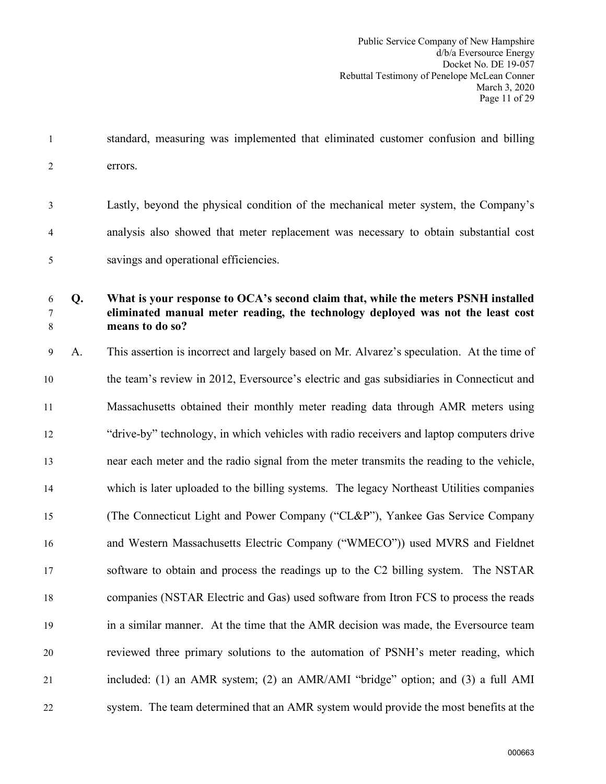1 standard, measuring was implemented that eliminated customer confusion and billing 2 errors.

3 Lastly, beyond the physical condition of the mechanical meter system, the Company's 4 analysis also showed that meter replacement was necessary to obtain substantial cost 5 savings and operational efficiencies.

## 6 **Q. What is your response to OCA's second claim that, while the meters PSNH installed**  7 **eliminated manual meter reading, the technology deployed was not the least cost**  8 **means to do so?**

9 A. This assertion is incorrect and largely based on Mr. Alvarez's speculation. At the time of 10 the team's review in 2012, Eversource's electric and gas subsidiaries in Connecticut and 11 Massachusetts obtained their monthly meter reading data through AMR meters using 12 "drive-by" technology, in which vehicles with radio receivers and laptop computers drive 13 near each meter and the radio signal from the meter transmits the reading to the vehicle, 14 which is later uploaded to the billing systems. The legacy Northeast Utilities companies 15 (The Connecticut Light and Power Company ("CL&P"), Yankee Gas Service Company 16 and Western Massachusetts Electric Company ("WMECO")) used MVRS and Fieldnet 17 software to obtain and process the readings up to the C2 billing system. The NSTAR 18 companies (NSTAR Electric and Gas) used software from Itron FCS to process the reads 19 in a similar manner. At the time that the AMR decision was made, the Eversource team 20 reviewed three primary solutions to the automation of PSNH's meter reading, which 21 included: (1) an AMR system; (2) an AMR/AMI "bridge" option; and (3) a full AMI 22 system. The team determined that an AMR system would provide the most benefits at the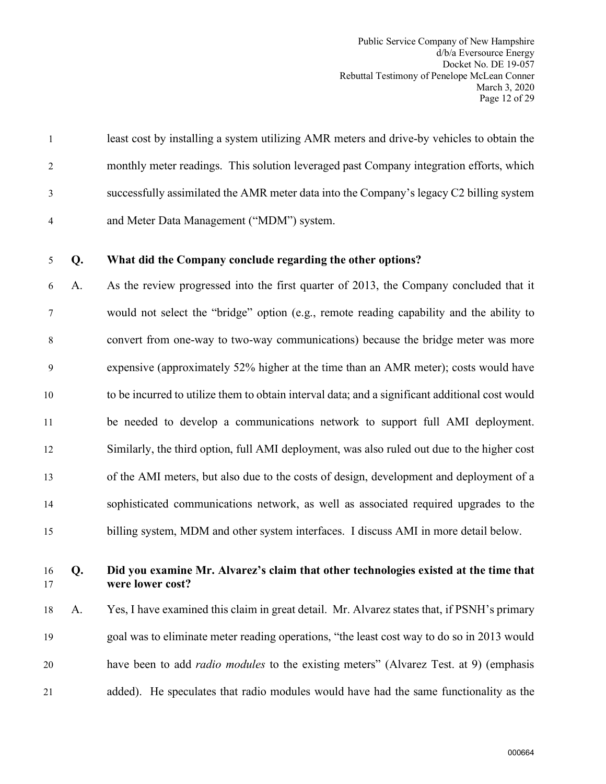Public Service Company of New Hampshire d/b/a Eversource Energy Docket No. DE 19-057 Rebuttal Testimony of Penelope McLean Conner March 3, 2020 Page 12 of 29

1 least cost by installing a system utilizing AMR meters and drive-by vehicles to obtain the 2 monthly meter readings. This solution leveraged past Company integration efforts, which 3 successfully assimilated the AMR meter data into the Company's legacy C2 billing system 4 and Meter Data Management ("MDM") system.

### 5 **Q. What did the Company conclude regarding the other options?**

6 A. As the review progressed into the first quarter of 2013, the Company concluded that it 7 would not select the "bridge" option (e.g., remote reading capability and the ability to 8 convert from one-way to two-way communications) because the bridge meter was more 9 expensive (approximately 52% higher at the time than an AMR meter); costs would have 10 to be incurred to utilize them to obtain interval data; and a significant additional cost would 11 be needed to develop a communications network to support full AMI deployment. 12 Similarly, the third option, full AMI deployment, was also ruled out due to the higher cost 13 of the AMI meters, but also due to the costs of design, development and deployment of a 14 sophisticated communications network, as well as associated required upgrades to the 15 billing system, MDM and other system interfaces. I discuss AMI in more detail below.

### 16 **Q. Did you examine Mr. Alvarez's claim that other technologies existed at the time that**  17 **were lower cost?**

18 A. Yes, I have examined this claim in great detail. Mr. Alvarez states that, if PSNH's primary 19 goal was to eliminate meter reading operations, "the least cost way to do so in 2013 would 20 have been to add *radio modules* to the existing meters" (Alvarez Test. at 9) (emphasis 21 added). He speculates that radio modules would have had the same functionality as the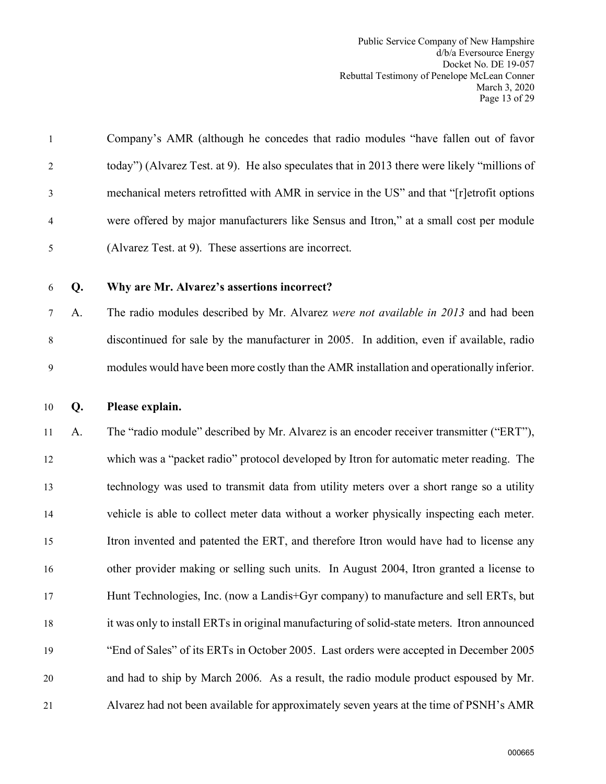| $\mathbf{1}$   | Company's AMR (although he concedes that radio modules "have fallen out of favor             |
|----------------|----------------------------------------------------------------------------------------------|
| 2              | today") (Alvarez Test. at 9). He also speculates that in 2013 there were likely "millions of |
| 3              | mechanical meters retrofitted with AMR in service in the US" and that "[r]etrofit options    |
| $\overline{4}$ | were offered by major manufacturers like Sensus and Itron," at a small cost per module       |
| 5              | (Alvarez Test. at 9). These assertions are incorrect.                                        |

## 6 **Q. Why are Mr. Alvarez's assertions incorrect?**

7 A. The radio modules described by Mr. Alvarez *were not available in 2013* and had been 8 discontinued for sale by the manufacturer in 2005. In addition, even if available, radio 9 modules would have been more costly than the AMR installation and operationally inferior.

#### 10 **Q. Please explain.**

11 A. The "radio module" described by Mr. Alvarez is an encoder receiver transmitter ("ERT"), 12 which was a "packet radio" protocol developed by Itron for automatic meter reading. The 13 technology was used to transmit data from utility meters over a short range so a utility 14 vehicle is able to collect meter data without a worker physically inspecting each meter. 15 Itron invented and patented the ERT, and therefore Itron would have had to license any 16 other provider making or selling such units. In August 2004, Itron granted a license to 17 Hunt Technologies, Inc. (now a Landis+Gyr company) to manufacture and sell ERTs, but 18 it was only to install ERTs in original manufacturing of solid-state meters. Itron announced 19 "End of Sales" of its ERTs in October 2005. Last orders were accepted in December 2005 20 and had to ship by March 2006. As a result, the radio module product espoused by Mr. 21 Alvarez had not been available for approximately seven years at the time of PSNH's AMR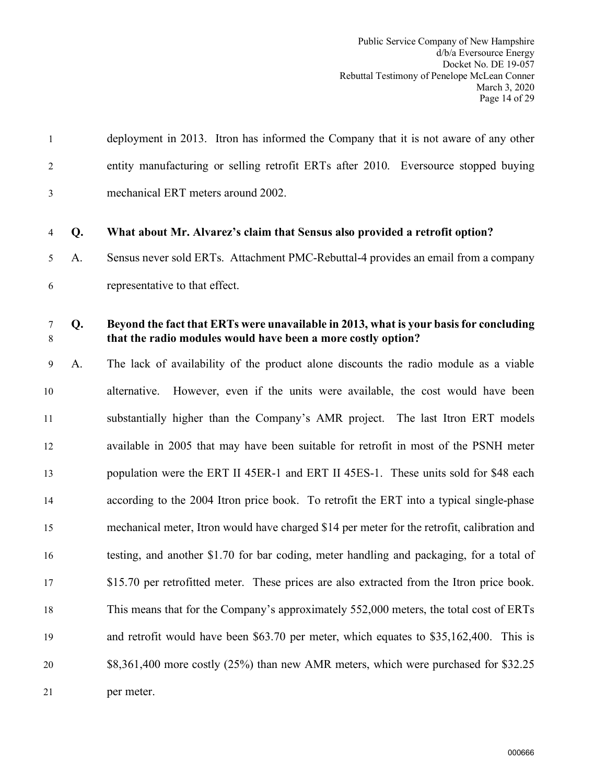| $\overline{2}$ |    | entity manufacturing or selling retrofit ERTs after 2010. Eversource stopped buying                                                                   |
|----------------|----|-------------------------------------------------------------------------------------------------------------------------------------------------------|
| 3              |    | mechanical ERT meters around 2002.                                                                                                                    |
| 4              | Q. | What about Mr. Alvarez's claim that Sensus also provided a retrofit option?                                                                           |
| 5              | A. | Sensus never sold ERTs. Attachment PMC-Rebuttal-4 provides an email from a company                                                                    |
| 6              |    | representative to that effect.                                                                                                                        |
| $\tau$<br>8    | Q. | Beyond the fact that ERTs were unavailable in 2013, what is your basis for concluding<br>that the radio modules would have been a more costly option? |
| 9              | A. | The lack of availability of the product alone discounts the radio module as a viable                                                                  |
| 10             |    | However, even if the units were available, the cost would have been<br>alternative.                                                                   |
| 11             |    | substantially higher than the Company's AMR project. The last Itron ERT models                                                                        |
| 12             |    | available in 2005 that may have been suitable for retrofit in most of the PSNH meter                                                                  |
| 13             |    | population were the ERT II 45ER-1 and ERT II 45ES-1. These units sold for \$48 each                                                                   |
| 14             |    | according to the 2004 Itron price book. To retrofit the ERT into a typical single-phase                                                               |
| 15             |    | mechanical meter, Itron would have charged \$14 per meter for the retrofit, calibration and                                                           |
| 16             |    | testing, and another \$1.70 for bar coding, meter handling and packaging, for a total of                                                              |
| 17             |    | \$15.70 per retrofitted meter. These prices are also extracted from the Itron price book.                                                             |
| 18             |    | This means that for the Company's approximately 552,000 meters, the total cost of ERTs                                                                |
| 19             |    | and retrofit would have been \$63.70 per meter, which equates to \$35,162,400. This is                                                                |
| 20             |    | \$8,361,400 more costly (25%) than new AMR meters, which were purchased for \$32.25                                                                   |
| 21             |    | per meter.                                                                                                                                            |
|                |    |                                                                                                                                                       |

1 deployment in 2013. Itron has informed the Company that it is not aware of any other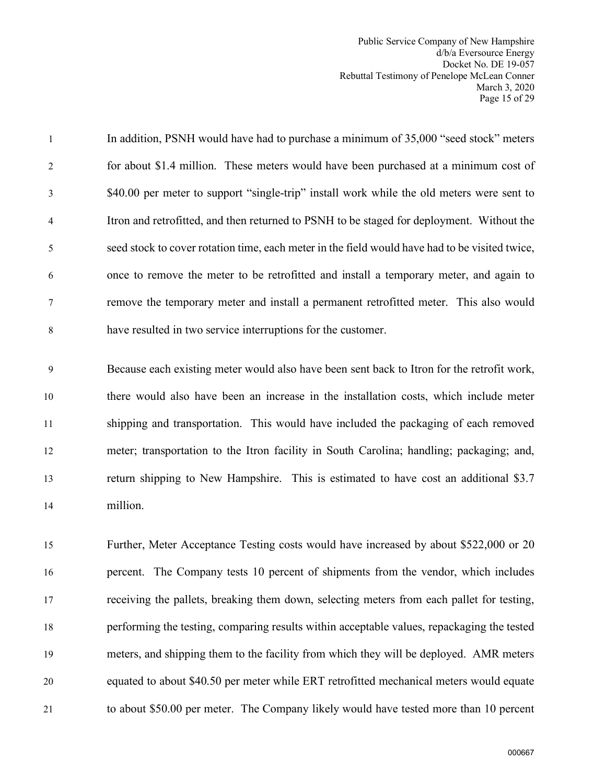Public Service Company of New Hampshire d/b/a Eversource Energy Docket No. DE 19-057 Rebuttal Testimony of Penelope McLean Conner March 3, 2020 Page 15 of 29

1 In addition, PSNH would have had to purchase a minimum of 35,000 "seed stock" meters 2 for about \$1.4 million. These meters would have been purchased at a minimum cost of 3 \$40.00 per meter to support "single-trip" install work while the old meters were sent to 4 Itron and retrofitted, and then returned to PSNH to be staged for deployment. Without the 5 seed stock to cover rotation time, each meter in the field would have had to be visited twice, 6 once to remove the meter to be retrofitted and install a temporary meter, and again to 7 remove the temporary meter and install a permanent retrofitted meter. This also would 8 have resulted in two service interruptions for the customer.

9 Because each existing meter would also have been sent back to Itron for the retrofit work, 10 there would also have been an increase in the installation costs, which include meter 11 shipping and transportation. This would have included the packaging of each removed 12 meter; transportation to the Itron facility in South Carolina; handling; packaging; and, 13 return shipping to New Hampshire. This is estimated to have cost an additional \$3.7 14 million.

15 Further, Meter Acceptance Testing costs would have increased by about \$522,000 or 20 16 percent. The Company tests 10 percent of shipments from the vendor, which includes 17 receiving the pallets, breaking them down, selecting meters from each pallet for testing, 18 performing the testing, comparing results within acceptable values, repackaging the tested 19 meters, and shipping them to the facility from which they will be deployed. AMR meters 20 equated to about \$40.50 per meter while ERT retrofitted mechanical meters would equate 21 to about \$50.00 per meter. The Company likely would have tested more than 10 percent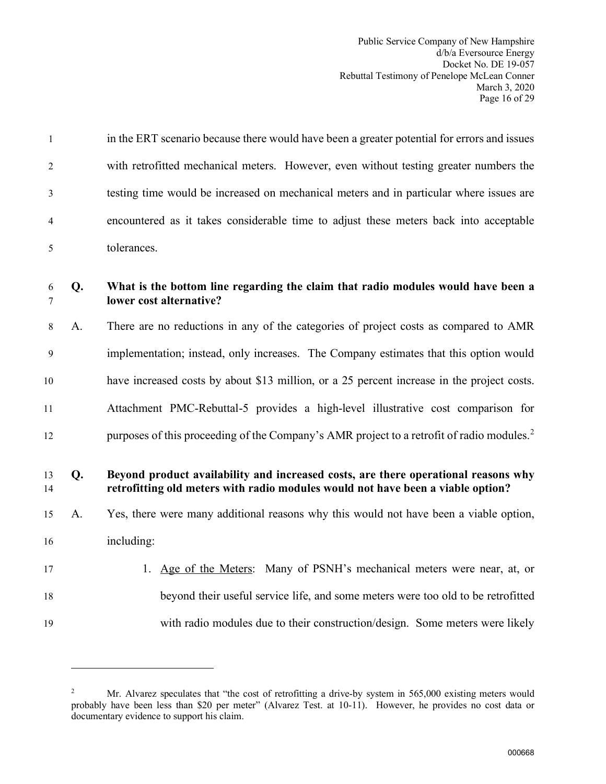| 1        |    | in the ERT scenario because there would have been a greater potential for errors and issues                                                                           |
|----------|----|-----------------------------------------------------------------------------------------------------------------------------------------------------------------------|
| 2        |    | with retrofitted mechanical meters. However, even without testing greater numbers the                                                                                 |
| 3        |    | testing time would be increased on mechanical meters and in particular where issues are                                                                               |
| 4        |    | encountered as it takes considerable time to adjust these meters back into acceptable                                                                                 |
| 5        |    | tolerances.                                                                                                                                                           |
| 6<br>7   | Q. | What is the bottom line regarding the claim that radio modules would have been a<br>lower cost alternative?                                                           |
| 8        | A. | There are no reductions in any of the categories of project costs as compared to AMR                                                                                  |
| 9        |    | implementation; instead, only increases. The Company estimates that this option would                                                                                 |
| 10       |    | have increased costs by about \$13 million, or a 25 percent increase in the project costs.                                                                            |
| 11       |    | Attachment PMC-Rebuttal-5 provides a high-level illustrative cost comparison for                                                                                      |
| 12       |    | purposes of this proceeding of the Company's AMR project to a retrofit of radio modules. <sup>2</sup>                                                                 |
| 13<br>14 | Q. | Beyond product availability and increased costs, are there operational reasons why<br>retrofitting old meters with radio modules would not have been a viable option? |
| 15       | А. | Yes, there were many additional reasons why this would not have been a viable option,                                                                                 |
| 16       |    | including:                                                                                                                                                            |
| 17       |    | 1. Age of the Meters: Many of PSNH's mechanical meters were near, at, or                                                                                              |
| 18       |    | beyond their useful service life, and some meters were too old to be retrofitted                                                                                      |
| 19       |    | with radio modules due to their construction/design. Some meters were likely                                                                                          |

<span id="page-17-0"></span><sup>2</sup> Mr. Alvarez speculates that "the cost of retrofitting a drive-by system in 565,000 existing meters would probably have been less than \$20 per meter" (Alvarez Test. at 10-11). However, he provides no cost data or documentary evidence to support his claim.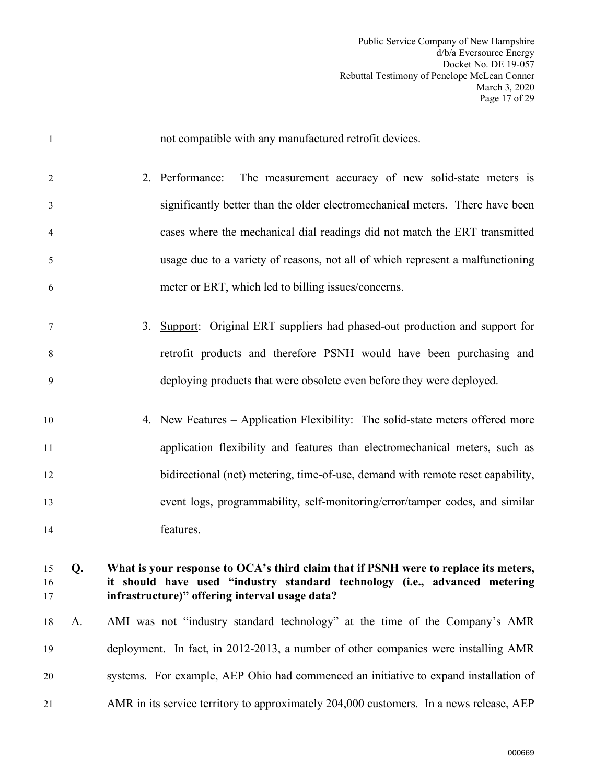Public Service Company of New Hampshire d/b/a Eversource Energy Docket No. DE 19-057 Rebuttal Testimony of Penelope McLean Conner March 3, 2020 Page 17 of 29

| $\overline{1}$ |    | not compatible with any manufactured retrofit devices.                                                                                                                                                              |
|----------------|----|---------------------------------------------------------------------------------------------------------------------------------------------------------------------------------------------------------------------|
| $\overline{2}$ |    | The measurement accuracy of new solid-state meters is<br>2. Performance:                                                                                                                                            |
| 3              |    | significantly better than the older electromechanical meters. There have been                                                                                                                                       |
| $\overline{4}$ |    | cases where the mechanical dial readings did not match the ERT transmitted                                                                                                                                          |
| 5              |    | usage due to a variety of reasons, not all of which represent a malfunctioning                                                                                                                                      |
| 6              |    | meter or ERT, which led to billing issues/concerns.                                                                                                                                                                 |
| $\tau$         |    | Support: Original ERT suppliers had phased-out production and support for<br>3.                                                                                                                                     |
| 8              |    | retrofit products and therefore PSNH would have been purchasing and                                                                                                                                                 |
| 9              |    | deploying products that were obsolete even before they were deployed.                                                                                                                                               |
| 10             |    | New Features – Application Flexibility: The solid-state meters offered more<br>4.                                                                                                                                   |
| 11             |    | application flexibility and features than electromechanical meters, such as                                                                                                                                         |
| 12             |    | bidirectional (net) metering, time-of-use, demand with remote reset capability,                                                                                                                                     |
| 13             |    | event logs, programmability, self-monitoring/error/tamper codes, and similar                                                                                                                                        |
| 14             |    | features.                                                                                                                                                                                                           |
| 15<br>16<br>17 | Q. | What is your response to OCA's third claim that if PSNH were to replace its meters,<br>it should have used "industry standard technology (i.e., advanced metering<br>infrastructure)" offering interval usage data? |
| 18             | A. | AMI was not "industry standard technology" at the time of the Company's AMR                                                                                                                                         |
| 19             |    | deployment. In fact, in 2012-2013, a number of other companies were installing AMR                                                                                                                                  |
| 20             |    | systems. For example, AEP Ohio had commenced an initiative to expand installation of                                                                                                                                |
| 21             |    | AMR in its service territory to approximately 204,000 customers. In a news release, AEP                                                                                                                             |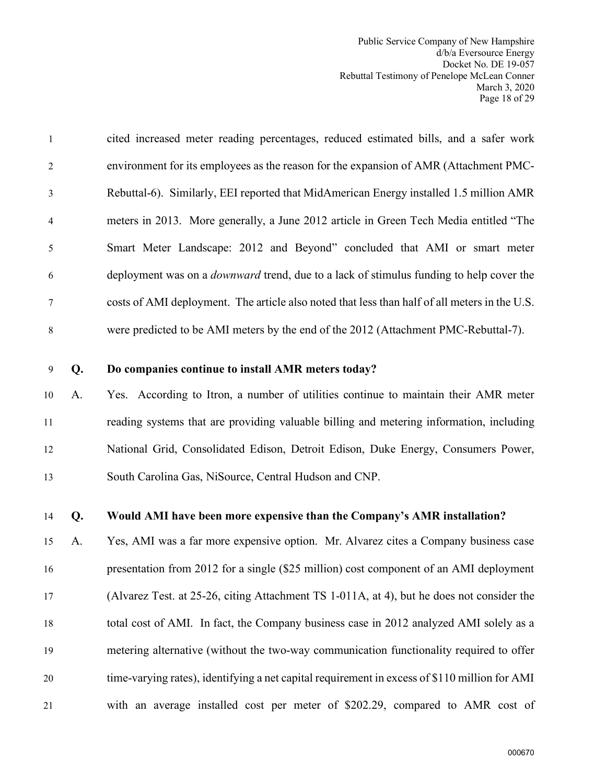Public Service Company of New Hampshire d/b/a Eversource Energy Docket No. DE 19-057 Rebuttal Testimony of Penelope McLean Conner March 3, 2020 Page 18 of 29

| $\mathbf{1}$   | cited increased meter reading percentages, reduced estimated bills, and a safer work           |
|----------------|------------------------------------------------------------------------------------------------|
| 2              | environment for its employees as the reason for the expansion of AMR (Attachment PMC-          |
| 3              | Rebuttal-6). Similarly, EEI reported that MidAmerican Energy installed 1.5 million AMR         |
| $\overline{4}$ | meters in 2013. More generally, a June 2012 article in Green Tech Media entitled "The          |
| 5              | Smart Meter Landscape: 2012 and Beyond" concluded that AMI or smart meter                      |
| 6              | deployment was on a <i>downward</i> trend, due to a lack of stimulus funding to help cover the |
| $\tau$         | costs of AMI deployment. The article also noted that less than half of all meters in the U.S.  |
| 8              | were predicted to be AMI meters by the end of the 2012 (Attachment PMC-Rebuttal-7).            |

#### 9 **Q. Do companies continue to install AMR meters today?**

10 A. Yes. According to Itron, a number of utilities continue to maintain their AMR meter 11 reading systems that are providing valuable billing and metering information, including 12 National Grid, Consolidated Edison, Detroit Edison, Duke Energy, Consumers Power, 13 South Carolina Gas, NiSource, Central Hudson and CNP.

#### 14 **Q. Would AMI have been more expensive than the Company's AMR installation?**

15 A. Yes, AMI was a far more expensive option. Mr. Alvarez cites a Company business case 16 presentation from 2012 for a single (\$25 million) cost component of an AMI deployment 17 (Alvarez Test. at 25-26, citing Attachment TS 1-011A, at 4), but he does not consider the 18 total cost of AMI. In fact, the Company business case in 2012 analyzed AMI solely as a 19 metering alternative (without the two-way communication functionality required to offer 20 time-varying rates), identifying a net capital requirement in excess of \$110 million for AMI 21 with an average installed cost per meter of \$202.29, compared to AMR cost of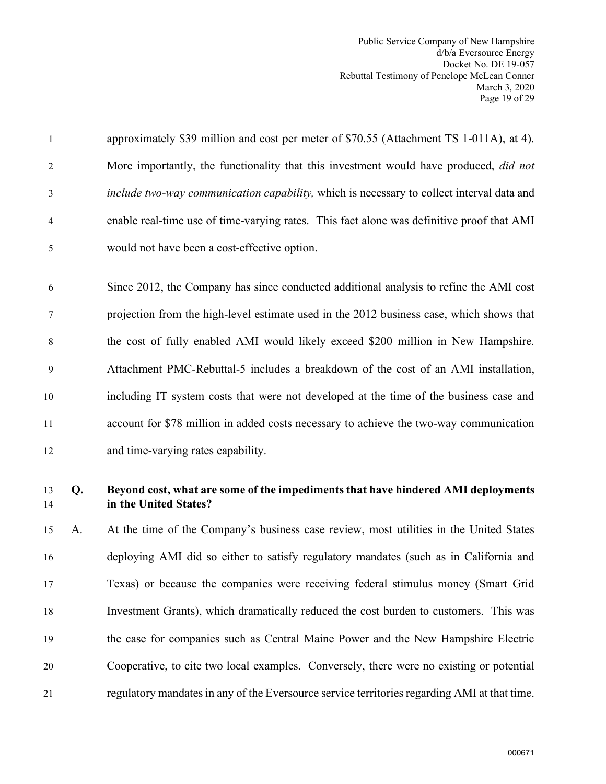| $\mathbf{1}$   |    | approximately \$39 million and cost per meter of \$70.55 (Attachment TS 1-011A), at 4).                   |
|----------------|----|-----------------------------------------------------------------------------------------------------------|
| $\overline{2}$ |    | More importantly, the functionality that this investment would have produced, <i>did not</i>              |
| 3              |    | include two-way communication capability, which is necessary to collect interval data and                 |
| 4              |    | enable real-time use of time-varying rates. This fact alone was definitive proof that AMI                 |
| 5              |    | would not have been a cost-effective option.                                                              |
| 6              |    | Since 2012, the Company has since conducted additional analysis to refine the AMI cost                    |
| 7              |    | projection from the high-level estimate used in the 2012 business case, which shows that                  |
| 8              |    | the cost of fully enabled AMI would likely exceed \$200 million in New Hampshire.                         |
| 9              |    | Attachment PMC-Rebuttal-5 includes a breakdown of the cost of an AMI installation,                        |
| 10             |    | including IT system costs that were not developed at the time of the business case and                    |
| 11             |    | account for \$78 million in added costs necessary to achieve the two-way communication                    |
| 12             |    | and time-varying rates capability.                                                                        |
| 13<br>14       | Q. | Beyond cost, what are some of the impediments that have hindered AMI deployments<br>in the United States? |
| 15             | A. | At the time of the Company's business case review, most utilities in the United States                    |
| 16             |    | deploying AMI did so either to satisfy regulatory mandates (such as in California and                     |

17 Texas) or because the companies were receiving federal stimulus money (Smart Grid 18 Investment Grants), which dramatically reduced the cost burden to customers. This was 19 the case for companies such as Central Maine Power and the New Hampshire Electric 20 Cooperative, to cite two local examples. Conversely, there were no existing or potential 21 regulatory mandates in any of the Eversource service territories regarding AMI at that time.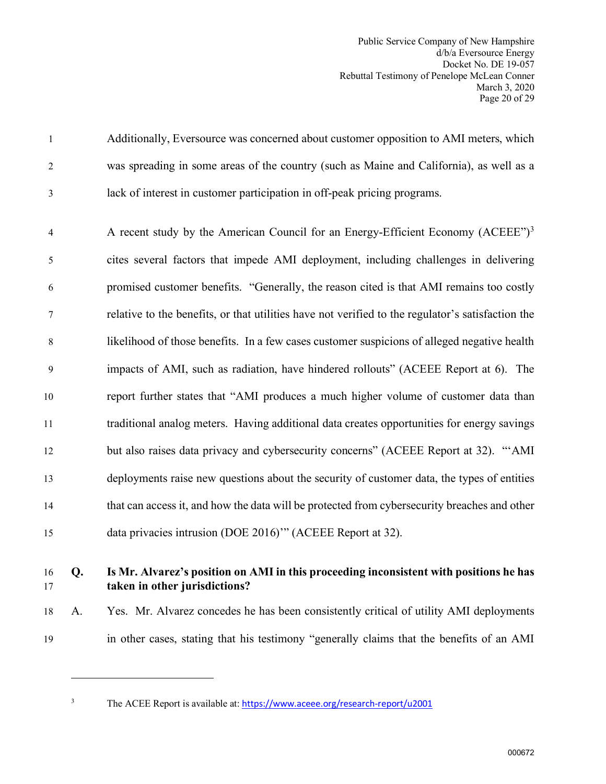Public Service Company of New Hampshire d/b/a Eversource Energy Docket No. DE 19-057 Rebuttal Testimony of Penelope McLean Conner March 3, 2020 Page 20 of 29

1 Additionally, Eversource was concerned about customer opposition to AMI meters, which 2 was spreading in some areas of the country (such as Maine and California), as well as a 3 lack of interest in customer participation in off-peak pricing programs.

A recent study by the American Council for an Energy-Efficient Economy  $(ACEEE")^3$  $(ACEEE")^3$ 5 cites several factors that impede AMI deployment, including challenges in delivering 6 promised customer benefits. "Generally, the reason cited is that AMI remains too costly 7 relative to the benefits, or that utilities have not verified to the regulator's satisfaction the 8 likelihood of those benefits. In a few cases customer suspicions of alleged negative health 9 impacts of AMI, such as radiation, have hindered rollouts" (ACEEE Report at 6). The 10 report further states that "AMI produces a much higher volume of customer data than 11 traditional analog meters. Having additional data creates opportunities for energy savings 12 but also raises data privacy and cybersecurity concerns" (ACEEE Report at 32). "'AMI 13 deployments raise new questions about the security of customer data, the types of entities 14 that can access it, and how the data will be protected from cybersecurity breaches and other 15 data privacies intrusion (DOE 2016)'" (ACEEE Report at 32).

## 16 **Q. Is Mr. Alvarez's position on AMI in this proceeding inconsistent with positions he has**  17 **taken in other jurisdictions?**

18 A. Yes. Mr. Alvarez concedes he has been consistently critical of utility AMI deployments 19 in other cases, stating that his testimony "generally claims that the benefits of an AMI

<span id="page-21-0"></span>

3

The ACEE Report is available at: <https://www.aceee.org/research-report/u2001>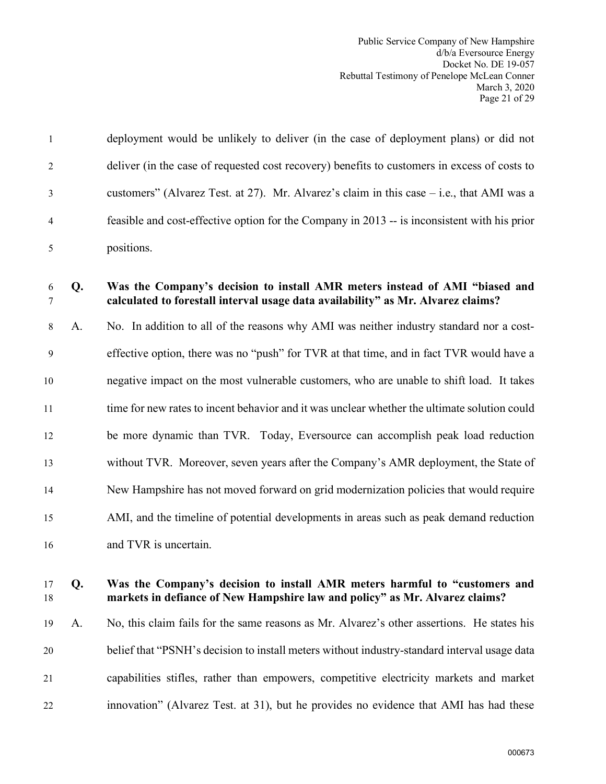Public Service Company of New Hampshire d/b/a Eversource Energy Docket No. DE 19-057 Rebuttal Testimony of Penelope McLean Conner March 3, 2020 Page 21 of 29

| $\overline{1}$ | deployment would be unlikely to deliver (in the case of deployment plans) or did not         |
|----------------|----------------------------------------------------------------------------------------------|
| 2              | deliver (in the case of requested cost recovery) benefits to customers in excess of costs to |
| $\overline{3}$ | customers" (Alvarez Test. at 27). Mr. Alvarez's claim in this case $-$ i.e., that AMI was a  |
| $\overline{4}$ | feasible and cost-effective option for the Company in 2013 -- is inconsistent with his prior |
|                | positions.                                                                                   |

### 6 **Q. Was the Company's decision to install AMR meters instead of AMI "biased and** 7 **calculated to forestall interval usage data availability" as Mr. Alvarez claims?**

8 A. No. In addition to all of the reasons why AMI was neither industry standard nor a cost-9 effective option, there was no "push" for TVR at that time, and in fact TVR would have a 10 negative impact on the most vulnerable customers, who are unable to shift load. It takes 11 time for new rates to incent behavior and it was unclear whether the ultimate solution could 12 be more dynamic than TVR. Today, Eversource can accomplish peak load reduction 13 without TVR. Moreover, seven years after the Company's AMR deployment, the State of 14 New Hampshire has not moved forward on grid modernization policies that would require 15 AMI, and the timeline of potential developments in areas such as peak demand reduction 16 and TVR is uncertain.

## 17 **Q. Was the Company's decision to install AMR meters harmful to "customers and**  18 **markets in defiance of New Hampshire law and policy" as Mr. Alvarez claims?**

19 A. No, this claim fails for the same reasons as Mr. Alvarez's other assertions. He states his 20 belief that "PSNH's decision to install meters without industry-standard interval usage data 21 capabilities stifles, rather than empowers, competitive electricity markets and market 22 innovation" (Alvarez Test. at 31), but he provides no evidence that AMI has had these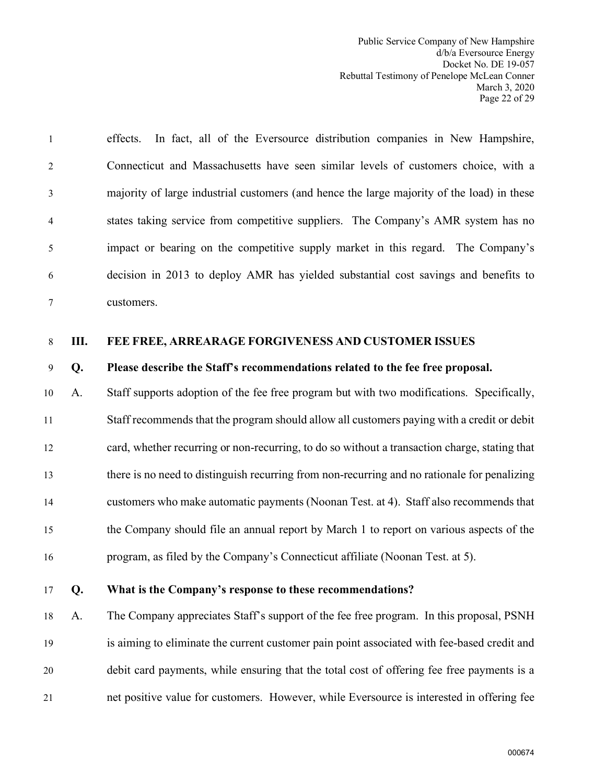Public Service Company of New Hampshire d/b/a Eversource Energy Docket No. DE 19-057 Rebuttal Testimony of Penelope McLean Conner March 3, 2020 Page 22 of 29

1 effects. In fact, all of the Eversource distribution companies in New Hampshire, 2 Connecticut and Massachusetts have seen similar levels of customers choice, with a 3 majority of large industrial customers (and hence the large majority of the load) in these 4 states taking service from competitive suppliers. The Company's AMR system has no 5 impact or bearing on the competitive supply market in this regard. The Company's 6 decision in 2013 to deploy AMR has yielded substantial cost savings and benefits to 7 customers.

### <span id="page-23-0"></span>8 **III. FEE FREE, ARREARAGE FORGIVENESS AND CUSTOMER ISSUES**

#### 9 **Q. Please describe the Staff's recommendations related to the fee free proposal.**

10 A. Staff supports adoption of the fee free program but with two modifications. Specifically, 11 Staff recommends that the program should allow all customers paying with a credit or debit 12 card, whether recurring or non-recurring, to do so without a transaction charge, stating that 13 there is no need to distinguish recurring from non-recurring and no rationale for penalizing 14 customers who make automatic payments (Noonan Test. at 4). Staff also recommends that 15 the Company should file an annual report by March 1 to report on various aspects of the 16 program, as filed by the Company's Connecticut affiliate (Noonan Test. at 5).

#### 17 **Q. What is the Company's response to these recommendations?**

18 A. The Company appreciates Staff's support of the fee free program. In this proposal, PSNH 19 is aiming to eliminate the current customer pain point associated with fee-based credit and 20 debit card payments, while ensuring that the total cost of offering fee free payments is a 21 net positive value for customers. However, while Eversource is interested in offering fee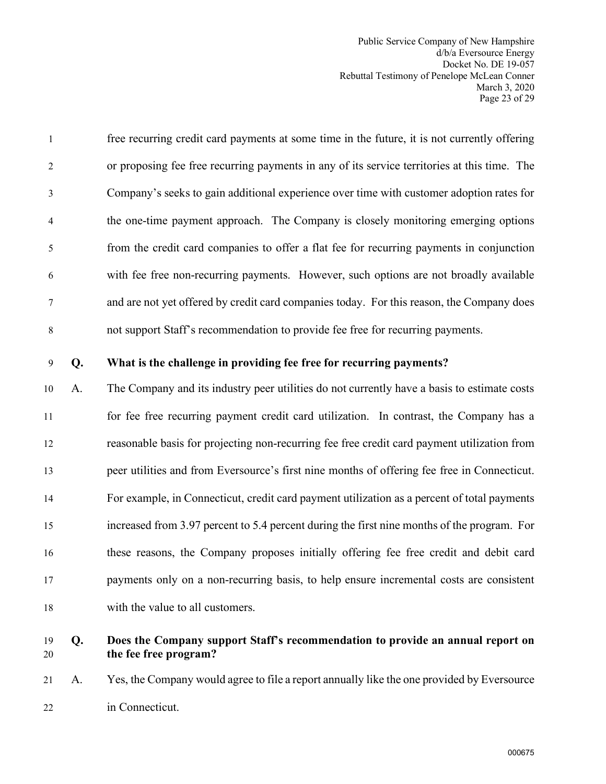Public Service Company of New Hampshire d/b/a Eversource Energy Docket No. DE 19-057 Rebuttal Testimony of Penelope McLean Conner March 3, 2020 Page 23 of 29

| $\mathbf{1}$   | free recurring credit card payments at some time in the future, it is not currently offering |
|----------------|----------------------------------------------------------------------------------------------|
| 2              | or proposing fee free recurring payments in any of its service territories at this time. The |
| 3              | Company's seeks to gain additional experience over time with customer adoption rates for     |
| $\overline{4}$ | the one-time payment approach. The Company is closely monitoring emerging options            |
| 5              | from the credit card companies to offer a flat fee for recurring payments in conjunction     |
| 6              | with fee free non-recurring payments. However, such options are not broadly available        |
| $\tau$         | and are not yet offered by credit card companies today. For this reason, the Company does    |
| 8              | not support Staff's recommendation to provide fee free for recurring payments.               |

### 9 **Q. What is the challenge in providing fee free for recurring payments?**

10 A. The Company and its industry peer utilities do not currently have a basis to estimate costs 11 for fee free recurring payment credit card utilization. In contrast, the Company has a 12 reasonable basis for projecting non-recurring fee free credit card payment utilization from 13 peer utilities and from Eversource's first nine months of offering fee free in Connecticut. 14 For example, in Connecticut, credit card payment utilization as a percent of total payments 15 increased from 3.97 percent to 5.4 percent during the first nine months of the program. For 16 these reasons, the Company proposes initially offering fee free credit and debit card 17 payments only on a non-recurring basis, to help ensure incremental costs are consistent 18 with the value to all customers.

## 19 **Q. Does the Company support Staff's recommendation to provide an annual report on**  20 **the fee free program?**

21 A. Yes, the Company would agree to file a report annually like the one provided by Eversource 22 in Connecticut.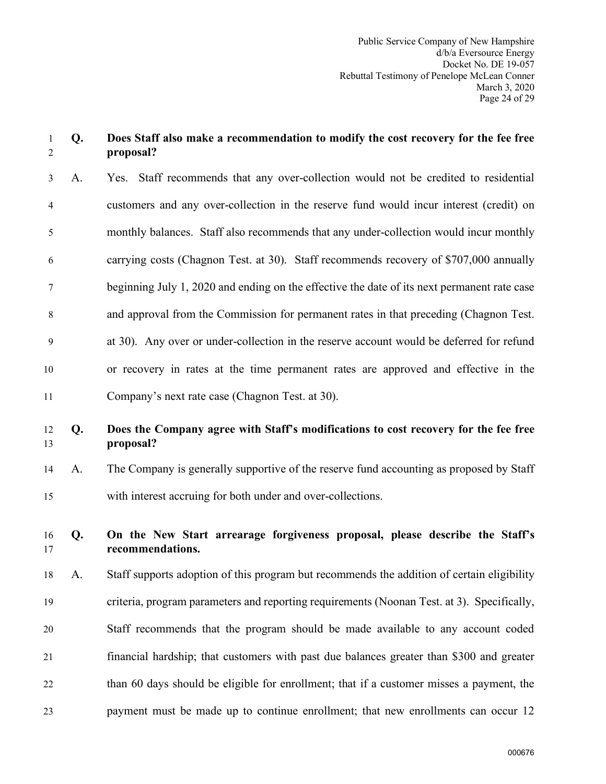## 1 **Q. Does Staff also make a recommendation to modify the cost recovery for the fee free**  2 **proposal?**

3 A. Yes. Staff recommends that any over-collection would not be credited to residential 4 customers and any over-collection in the reserve fund would incur interest (credit) on 5 monthly balances. Staff also recommends that any under-collection would incur monthly 6 carrying costs (Chagnon Test. at 30). Staff recommends recovery of \$707,000 annually 7 beginning July 1, 2020 and ending on the effective the date of its next permanent rate case 8 and approval from the Commission for permanent rates in that preceding (Chagnon Test. 9 at 30). Any over or under-collection in the reserve account would be deferred for refund 10 or recovery in rates at the time permanent rates are approved and effective in the 11 Company's next rate case (Chagnon Test. at 30).

## 12 **Q. Does the Company agree with Staff's modifications to cost recovery for the fee free**  13 **proposal?**

14 A. The Company is generally supportive of the reserve fund accounting as proposed by Staff 15 with interest accruing for both under and over-collections.

## 16 **Q. On the New Start arrearage forgiveness proposal, please describe the Staff's**  17 **recommendations.**

18 A. Staff supports adoption of this program but recommends the addition of certain eligibility 19 criteria, program parameters and reporting requirements (Noonan Test. at 3). Specifically, 20 Staff recommends that the program should be made available to any account coded 21 financial hardship; that customers with past due balances greater than \$300 and greater 22 than 60 days should be eligible for enrollment; that if a customer misses a payment, the 23 payment must be made up to continue enrollment; that new enrollments can occur 12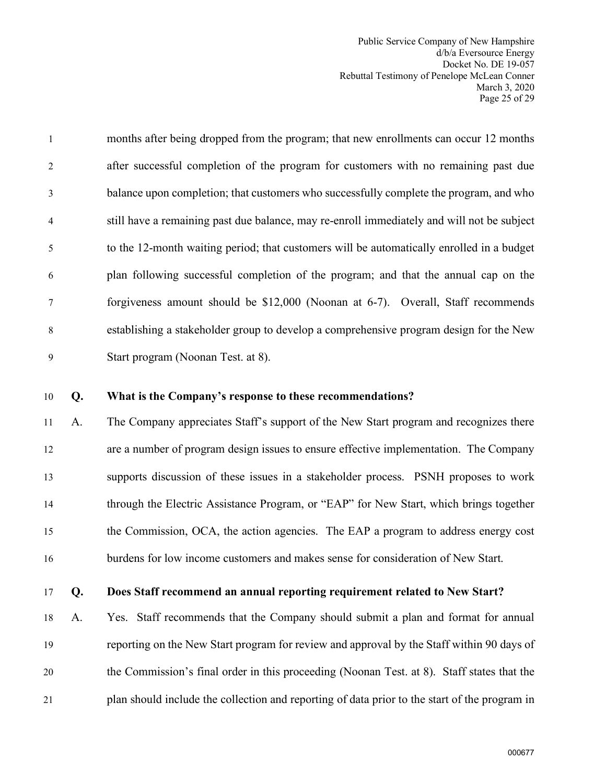Public Service Company of New Hampshire d/b/a Eversource Energy Docket No. DE 19-057 Rebuttal Testimony of Penelope McLean Conner March 3, 2020 Page 25 of 29

| $\mathbf{1}$   | months after being dropped from the program; that new enrollments can occur 12 months      |
|----------------|--------------------------------------------------------------------------------------------|
| 2              | after successful completion of the program for customers with no remaining past due        |
| 3              | balance upon completion; that customers who successfully complete the program, and who     |
| $\overline{4}$ | still have a remaining past due balance, may re-enroll immediately and will not be subject |
| 5              | to the 12-month waiting period; that customers will be automatically enrolled in a budget  |
| 6              | plan following successful completion of the program; and that the annual cap on the        |
| $\tau$         | forgiveness amount should be \$12,000 (Noonan at 6-7). Overall, Staff recommends           |
| 8              | establishing a stakeholder group to develop a comprehensive program design for the New     |
| $\mathbf Q$    | Start program (Noonan Test. at 8).                                                         |

#### 10 **Q. What is the Company's response to these recommendations?**

11 A. The Company appreciates Staff's support of the New Start program and recognizes there 12 are a number of program design issues to ensure effective implementation. The Company 13 supports discussion of these issues in a stakeholder process. PSNH proposes to work 14 through the Electric Assistance Program, or "EAP" for New Start, which brings together 15 the Commission, OCA, the action agencies. The EAP a program to address energy cost 16 burdens for low income customers and makes sense for consideration of New Start.

## 17 **Q. Does Staff recommend an annual reporting requirement related to New Start?**

18 A. Yes. Staff recommends that the Company should submit a plan and format for annual 19 reporting on the New Start program for review and approval by the Staff within 90 days of 20 the Commission's final order in this proceeding (Noonan Test. at 8). Staff states that the 21 plan should include the collection and reporting of data prior to the start of the program in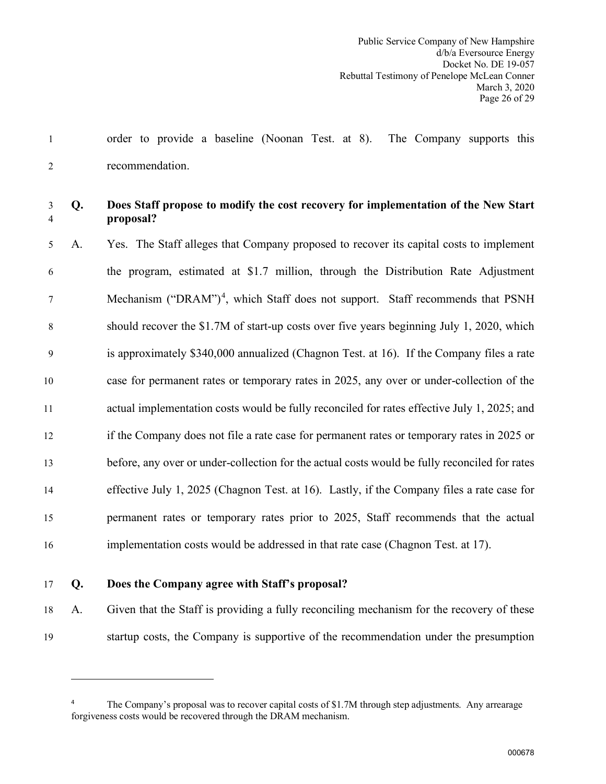1 order to provide a baseline (Noonan Test. at 8). The Company supports this 2 recommendation.

## 3 **Q. Does Staff propose to modify the cost recovery for implementation of the New Start**  4 **proposal?**

5 A. Yes. The Staff alleges that Company proposed to recover its capital costs to implement 6 the program, estimated at \$1.7 million, through the Distribution Rate Adjustment  $\frac{1}{7}$  Mechanism ("DRAM")<sup>[4](#page-27-0)</sup>, which Staff does not support. Staff recommends that PSNH 8 should recover the \$1.7M of start-up costs over five years beginning July 1, 2020, which 9 is approximately \$340,000 annualized (Chagnon Test. at 16). If the Company files a rate 10 case for permanent rates or temporary rates in 2025, any over or under-collection of the 11 actual implementation costs would be fully reconciled for rates effective July 1, 2025; and 12 if the Company does not file a rate case for permanent rates or temporary rates in 2025 or 13 before, any over or under-collection for the actual costs would be fully reconciled for rates 14 effective July 1, 2025 (Chagnon Test. at 16). Lastly, if the Company files a rate case for 15 permanent rates or temporary rates prior to 2025, Staff recommends that the actual 16 implementation costs would be addressed in that rate case (Chagnon Test. at 17).

### 17 **Q. Does the Company agree with Staff's proposal?**

18 A. Given that the Staff is providing a fully reconciling mechanism for the recovery of these 19 startup costs, the Company is supportive of the recommendation under the presumption

<span id="page-27-0"></span><sup>4</sup> The Company's proposal was to recover capital costs of \$1.7M through step adjustments. Any arrearage forgiveness costs would be recovered through the DRAM mechanism.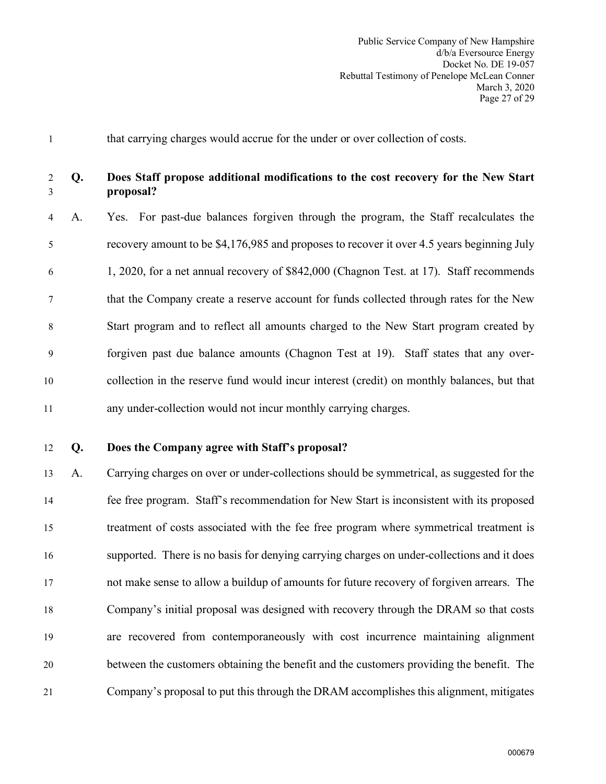1 that carrying charges would accrue for the under or over collection of costs.

## 2 **Q. Does Staff propose additional modifications to the cost recovery for the New Start**  3 **proposal?**

4 A. Yes. For past-due balances forgiven through the program, the Staff recalculates the 5 recovery amount to be \$4,176,985 and proposes to recover it over 4.5 years beginning July 6 1, 2020, for a net annual recovery of \$842,000 (Chagnon Test. at 17). Staff recommends 7 that the Company create a reserve account for funds collected through rates for the New 8 Start program and to reflect all amounts charged to the New Start program created by 9 forgiven past due balance amounts (Chagnon Test at 19). Staff states that any over-10 collection in the reserve fund would incur interest (credit) on monthly balances, but that 11 any under-collection would not incur monthly carrying charges.

#### 12 **Q. Does the Company agree with Staff's proposal?**

13 A. Carrying charges on over or under-collections should be symmetrical, as suggested for the 14 fee free program. Staff's recommendation for New Start is inconsistent with its proposed 15 treatment of costs associated with the fee free program where symmetrical treatment is 16 supported. There is no basis for denying carrying charges on under-collections and it does 17 not make sense to allow a buildup of amounts for future recovery of forgiven arrears. The 18 Company's initial proposal was designed with recovery through the DRAM so that costs 19 are recovered from contemporaneously with cost incurrence maintaining alignment 20 between the customers obtaining the benefit and the customers providing the benefit. The 21 Company's proposal to put this through the DRAM accomplishes this alignment, mitigates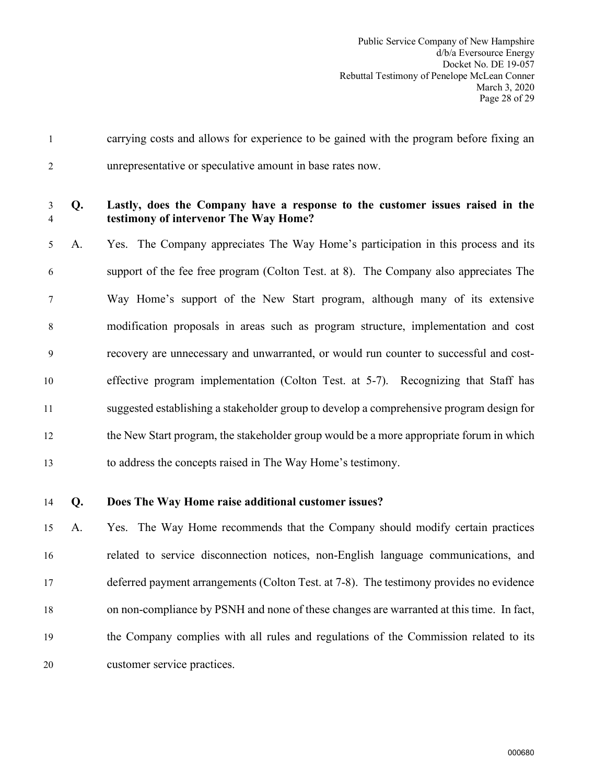1 carrying costs and allows for experience to be gained with the program before fixing an 2 unrepresentative or speculative amount in base rates now.

#### 3 **Q. Lastly, does the Company have a response to the customer issues raised in the**  4 **testimony of intervenor The Way Home?**

5 A. Yes. The Company appreciates The Way Home's participation in this process and its 6 support of the fee free program (Colton Test. at 8). The Company also appreciates The 7 Way Home's support of the New Start program, although many of its extensive 8 modification proposals in areas such as program structure, implementation and cost 9 recovery are unnecessary and unwarranted, or would run counter to successful and cost-10 effective program implementation (Colton Test. at 5-7). Recognizing that Staff has 11 suggested establishing a stakeholder group to develop a comprehensive program design for 12 the New Start program, the stakeholder group would be a more appropriate forum in which 13 to address the concepts raised in The Way Home's testimony.

### 14 **Q. Does The Way Home raise additional customer issues?**

15 A. Yes. The Way Home recommends that the Company should modify certain practices 16 related to service disconnection notices, non-English language communications, and 17 deferred payment arrangements (Colton Test. at 7-8). The testimony provides no evidence 18 on non-compliance by PSNH and none of these changes are warranted at this time. In fact, 19 the Company complies with all rules and regulations of the Commission related to its 20 customer service practices.